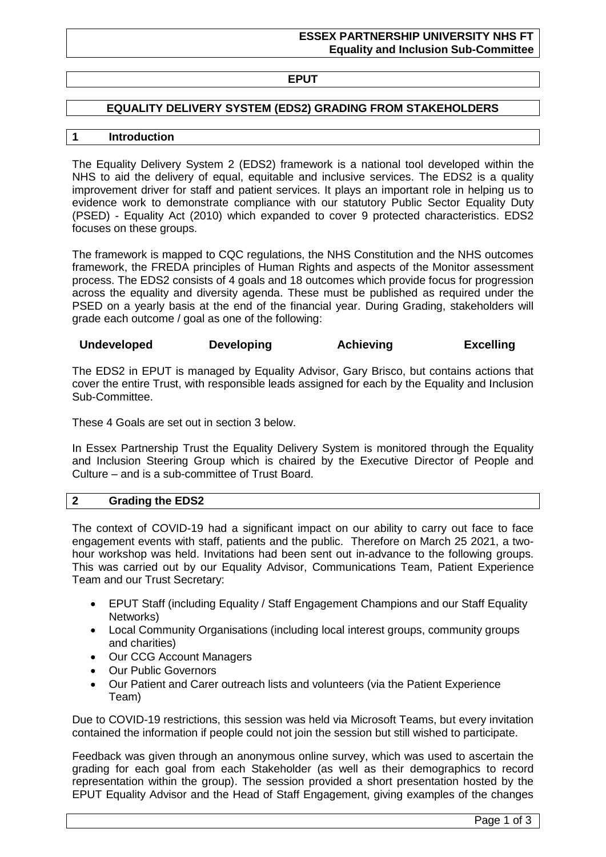# **EPUT**

## **EQUALITY DELIVERY SYSTEM (EDS2) GRADING FROM STAKEHOLDERS**

### **1 Introduction**

The Equality Delivery System 2 (EDS2) framework is a national tool developed within the NHS to aid the delivery of equal, equitable and inclusive services. The EDS2 is a quality improvement driver for staff and patient services. It plays an important role in helping us to evidence work to demonstrate compliance with our statutory Public Sector Equality Duty (PSED) - Equality Act (2010) which expanded to cover 9 protected characteristics. EDS2 focuses on these groups.

The framework is mapped to CQC regulations, the NHS Constitution and the NHS outcomes framework, the FREDA principles of Human Rights and aspects of the Monitor assessment process. The EDS2 consists of 4 goals and 18 outcomes which provide focus for progression across the equality and diversity agenda. These must be published as required under the PSED on a yearly basis at the end of the financial year. During Grading, stakeholders will grade each outcome / goal as one of the following:

#### **Undeveloped Developing Achieving Excelling**

The EDS2 in EPUT is managed by Equality Advisor, Gary Brisco, but contains actions that cover the entire Trust, with responsible leads assigned for each by the Equality and Inclusion Sub-Committee.

These 4 Goals are set out in section 3 below.

In Essex Partnership Trust the Equality Delivery System is monitored through the Equality and Inclusion Steering Group which is chaired by the Executive Director of People and Culture – and is a sub-committee of Trust Board.

#### **2 Grading the EDS2**

The context of COVID-19 had a significant impact on our ability to carry out face to face engagement events with staff, patients and the public. Therefore on March 25 2021, a twohour workshop was held. Invitations had been sent out in-advance to the following groups. This was carried out by our Equality Advisor, Communications Team, Patient Experience Team and our Trust Secretary:

- EPUT Staff (including Equality / Staff Engagement Champions and our Staff Equality Networks)
- Local Community Organisations (including local interest groups, community groups and charities)
- Our CCG Account Managers
- Our Public Governors
- Our Patient and Carer outreach lists and volunteers (via the Patient Experience Team)

Due to COVID-19 restrictions, this session was held via Microsoft Teams, but every invitation contained the information if people could not join the session but still wished to participate.

Feedback was given through an anonymous online survey, which was used to ascertain the grading for each goal from each Stakeholder (as well as their demographics to record representation within the group). The session provided a short presentation hosted by the EPUT Equality Advisor and the Head of Staff Engagement, giving examples of the changes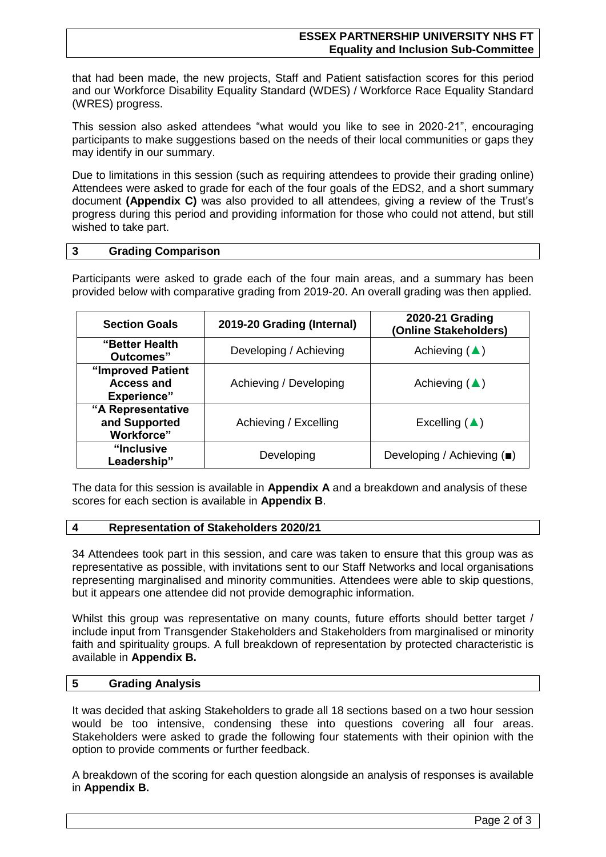that had been made, the new projects, Staff and Patient satisfaction scores for this period and our Workforce Disability Equality Standard (WDES) / Workforce Race Equality Standard (WRES) progress.

This session also asked attendees "what would you like to see in 2020-21", encouraging participants to make suggestions based on the needs of their local communities or gaps they may identify in our summary.

Due to limitations in this session (such as requiring attendees to provide their grading online) Attendees were asked to grade for each of the four goals of the EDS2, and a short summary document **(Appendix C)** was also provided to all attendees, giving a review of the Trust's progress during this period and providing information for those who could not attend, but still wished to take part.

#### **3 Grading Comparison**

Participants were asked to grade each of the four main areas, and a summary has been provided below with comparative grading from 2019-20. An overall grading was then applied.

| <b>Section Goals</b>                                         | 2019-20 Grading (Internal) | 2020-21 Grading<br>(Online Stakeholders) |
|--------------------------------------------------------------|----------------------------|------------------------------------------|
| "Better Health<br>Outcomes"                                  | Developing / Achieving     | Achieving $(\triangle)$                  |
| "Improved Patient<br><b>Access and</b><br><b>Experience"</b> | Achieving / Developing     | Achieving $(\triangle)$                  |
| "A Representative<br>and Supported<br><b>Workforce"</b>      | Achieving / Excelling      | Excelling $(\triangle)$                  |
| "Inclusive<br>Leadership"                                    | Developing                 | Developing / Achieving (■)               |

The data for this session is available in **Appendix A** and a breakdown and analysis of these scores for each section is available in **Appendix B**.

#### **4 Representation of Stakeholders 2020/21**

34 Attendees took part in this session, and care was taken to ensure that this group was as representative as possible, with invitations sent to our Staff Networks and local organisations representing marginalised and minority communities. Attendees were able to skip questions, but it appears one attendee did not provide demographic information.

Whilst this group was representative on many counts, future efforts should better target / include input from Transgender Stakeholders and Stakeholders from marginalised or minority faith and spirituality groups. A full breakdown of representation by protected characteristic is available in **Appendix B.**

#### **5 Grading Analysis**

It was decided that asking Stakeholders to grade all 18 sections based on a two hour session would be too intensive, condensing these into questions covering all four areas. Stakeholders were asked to grade the following four statements with their opinion with the option to provide comments or further feedback.

A breakdown of the scoring for each question alongside an analysis of responses is available in **Appendix B.**